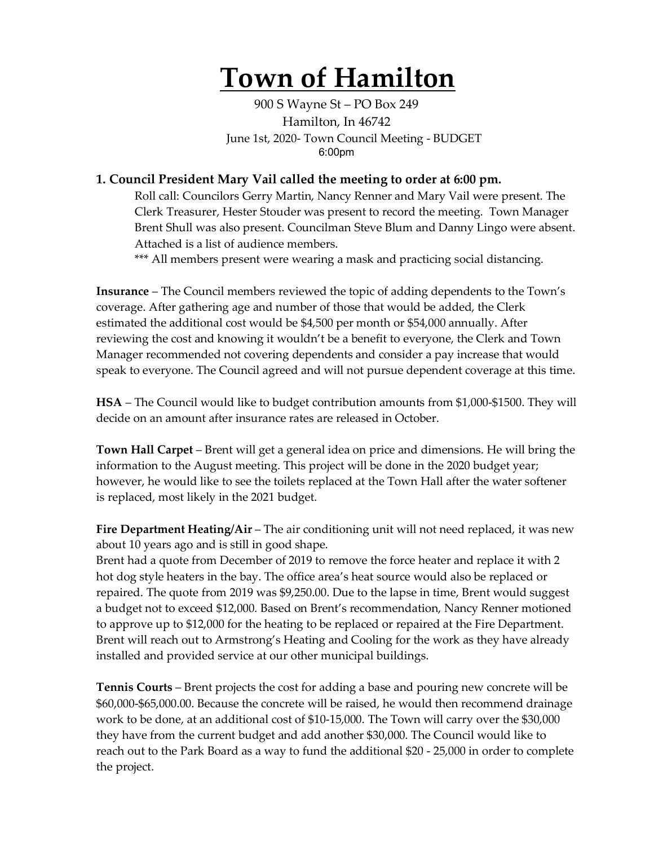## **Town of Hamilton**

900 S Wayne St – PO Box 249 Hamilton, In 46742 June 1st, 2020- Town Council Meeting - BUDGET 6:00pm

## **1. Council President Mary Vail called the meeting to order at 6:00 pm.**

Roll call: Councilors Gerry Martin, Nancy Renner and Mary Vail were present. The Clerk Treasurer, Hester Stouder was present to record the meeting. Town Manager Brent Shull was also present. Councilman Steve Blum and Danny Lingo were absent. Attached is a list of audience members.

\*\*\* All members present were wearing a mask and practicing social distancing.

**Insurance** – The Council members reviewed the topic of adding dependents to the Town's coverage. After gathering age and number of those that would be added, the Clerk estimated the additional cost would be \$4,500 per month or \$54,000 annually. After reviewing the cost and knowing it wouldn't be a benefit to everyone, the Clerk and Town Manager recommended not covering dependents and consider a pay increase that would speak to everyone. The Council agreed and will not pursue dependent coverage at this time.

**HSA** – The Council would like to budget contribution amounts from \$1,000-\$1500. They will decide on an amount after insurance rates are released in October.

**Town Hall Carpet** – Brent will get a general idea on price and dimensions. He will bring the information to the August meeting. This project will be done in the 2020 budget year; however, he would like to see the toilets replaced at the Town Hall after the water softener is replaced, most likely in the 2021 budget.

**Fire Department Heating/Air** – The air conditioning unit will not need replaced, it was new about 10 years ago and is still in good shape.

Brent had a quote from December of 2019 to remove the force heater and replace it with 2 hot dog style heaters in the bay. The office area's heat source would also be replaced or repaired. The quote from 2019 was \$9,250.00. Due to the lapse in time, Brent would suggest a budget not to exceed \$12,000. Based on Brent's recommendation, Nancy Renner motioned to approve up to \$12,000 for the heating to be replaced or repaired at the Fire Department. Brent will reach out to Armstrong's Heating and Cooling for the work as they have already installed and provided service at our other municipal buildings.

**Tennis Courts** – Brent projects the cost for adding a base and pouring new concrete will be \$60,000-\$65,000.00. Because the concrete will be raised, he would then recommend drainage work to be done, at an additional cost of \$10-15,000. The Town will carry over the \$30,000 they have from the current budget and add another \$30,000. The Council would like to reach out to the Park Board as a way to fund the additional \$20 - 25,000 in order to complete the project.